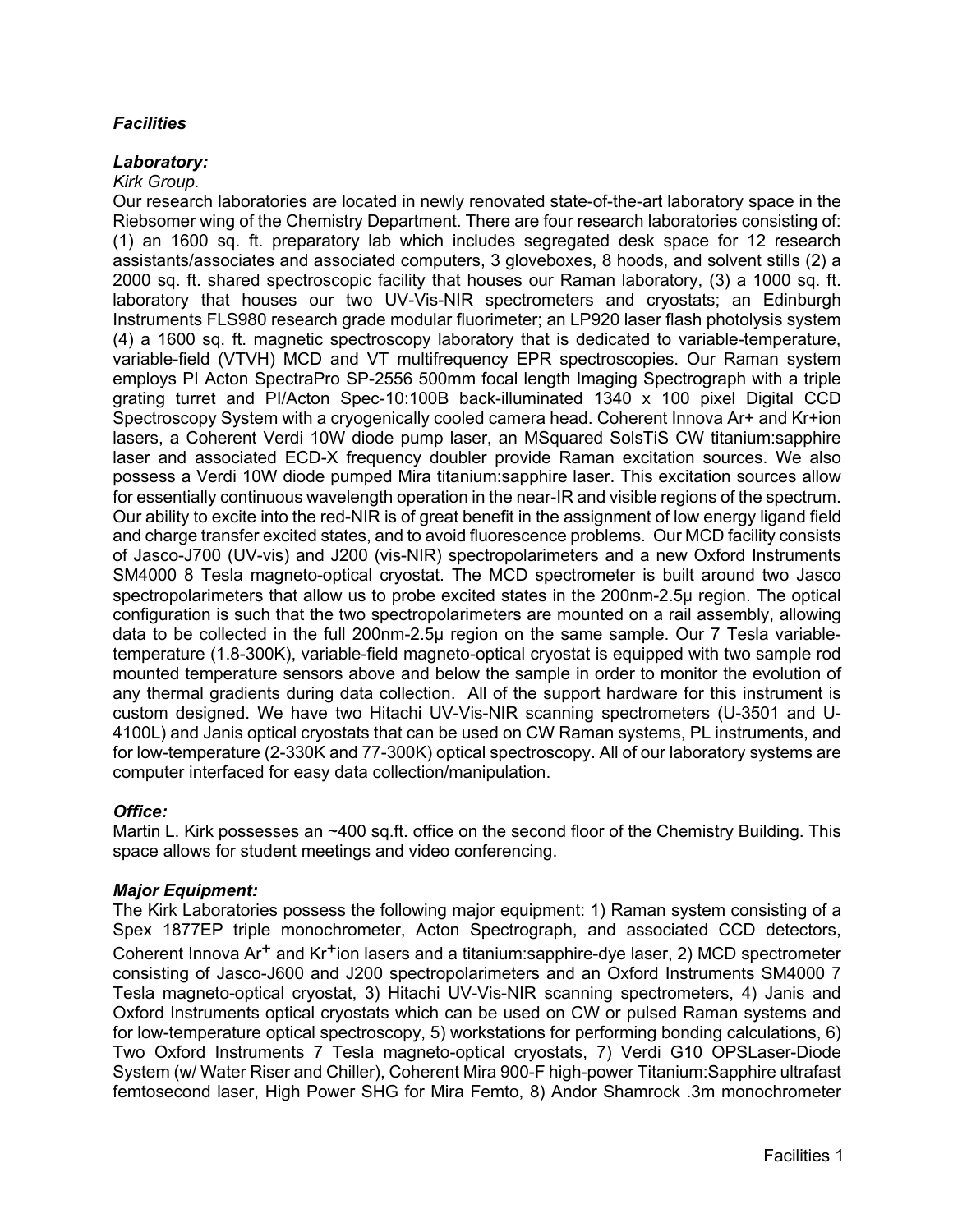# *Facilities*

#### *Laboratory:*

#### *Kirk Group.*

Our research laboratories are located in newly renovated state-of-the-art laboratory space in the Riebsomer wing of the Chemistry Department. There are four research laboratories consisting of: (1) an 1600 sq. ft. preparatory lab which includes segregated desk space for 12 research assistants/associates and associated computers, 3 gloveboxes, 8 hoods, and solvent stills (2) a 2000 sq. ft. shared spectroscopic facility that houses our Raman laboratory, (3) a 1000 sq. ft. laboratory that houses our two UV-Vis-NIR spectrometers and cryostats; an Edinburgh Instruments FLS980 research grade modular fluorimeter; an LP920 laser flash photolysis system (4) a 1600 sq. ft. magnetic spectroscopy laboratory that is dedicated to variable-temperature, variable-field (VTVH) MCD and VT multifrequency EPR spectroscopies. Our Raman system employs PI Acton SpectraPro SP-2556 500mm focal length Imaging Spectrograph with a triple grating turret and PI/Acton Spec-10:100B back-illuminated 1340 x 100 pixel Digital CCD Spectroscopy System with a cryogenically cooled camera head. Coherent Innova Ar+ and Kr+ion lasers, a Coherent Verdi 10W diode pump laser, an MSquared SolsTiS CW titanium:sapphire laser and associated ECD-X frequency doubler provide Raman excitation sources. We also possess a Verdi 10W diode pumped Mira titanium:sapphire laser. This excitation sources allow for essentially continuous wavelength operation in the near-IR and visible regions of the spectrum. Our ability to excite into the red-NIR is of great benefit in the assignment of low energy ligand field and charge transfer excited states, and to avoid fluorescence problems. Our MCD facility consists of Jasco-J700 (UV-vis) and J200 (vis-NIR) spectropolarimeters and a new Oxford Instruments SM4000 8 Tesla magneto-optical cryostat. The MCD spectrometer is built around two Jasco spectropolarimeters that allow us to probe excited states in the 200nm-2.5μ region. The optical configuration is such that the two spectropolarimeters are mounted on a rail assembly, allowing data to be collected in the full 200nm-2.5μ region on the same sample. Our 7 Tesla variabletemperature (1.8-300K), variable-field magneto-optical cryostat is equipped with two sample rod mounted temperature sensors above and below the sample in order to monitor the evolution of any thermal gradients during data collection. All of the support hardware for this instrument is custom designed. We have two Hitachi UV-Vis-NIR scanning spectrometers (U-3501 and U-4100L) and Janis optical cryostats that can be used on CW Raman systems, PL instruments, and for low-temperature (2-330K and 77-300K) optical spectroscopy. All of our laboratory systems are computer interfaced for easy data collection/manipulation.

# *Office:*

Martin L. Kirk possesses an ~400 sq.ft. office on the second floor of the Chemistry Building. This space allows for student meetings and video conferencing.

# *Major Equipment:*

The Kirk Laboratories possess the following major equipment: 1) Raman system consisting of a Spex 1877EP triple monochrometer, Acton Spectrograph, and associated CCD detectors, Coherent Innova  $Ar^+$  and  $Kr^+$ ion lasers and a titanium: sapphire-dye laser, 2) MCD spectrometer consisting of Jasco-J600 and J200 spectropolarimeters and an Oxford Instruments SM4000 7 Tesla magneto-optical cryostat, 3) Hitachi UV-Vis-NIR scanning spectrometers, 4) Janis and Oxford Instruments optical cryostats which can be used on CW or pulsed Raman systems and for low-temperature optical spectroscopy, 5) workstations for performing bonding calculations, 6) Two Oxford Instruments 7 Tesla magneto-optical cryostats, 7) Verdi G10 OPSLaser-Diode System (w/ Water Riser and Chiller), Coherent Mira 900-F high-power Titanium:Sapphire ultrafast femtosecond laser, High Power SHG for Mira Femto, 8) Andor Shamrock .3m monochrometer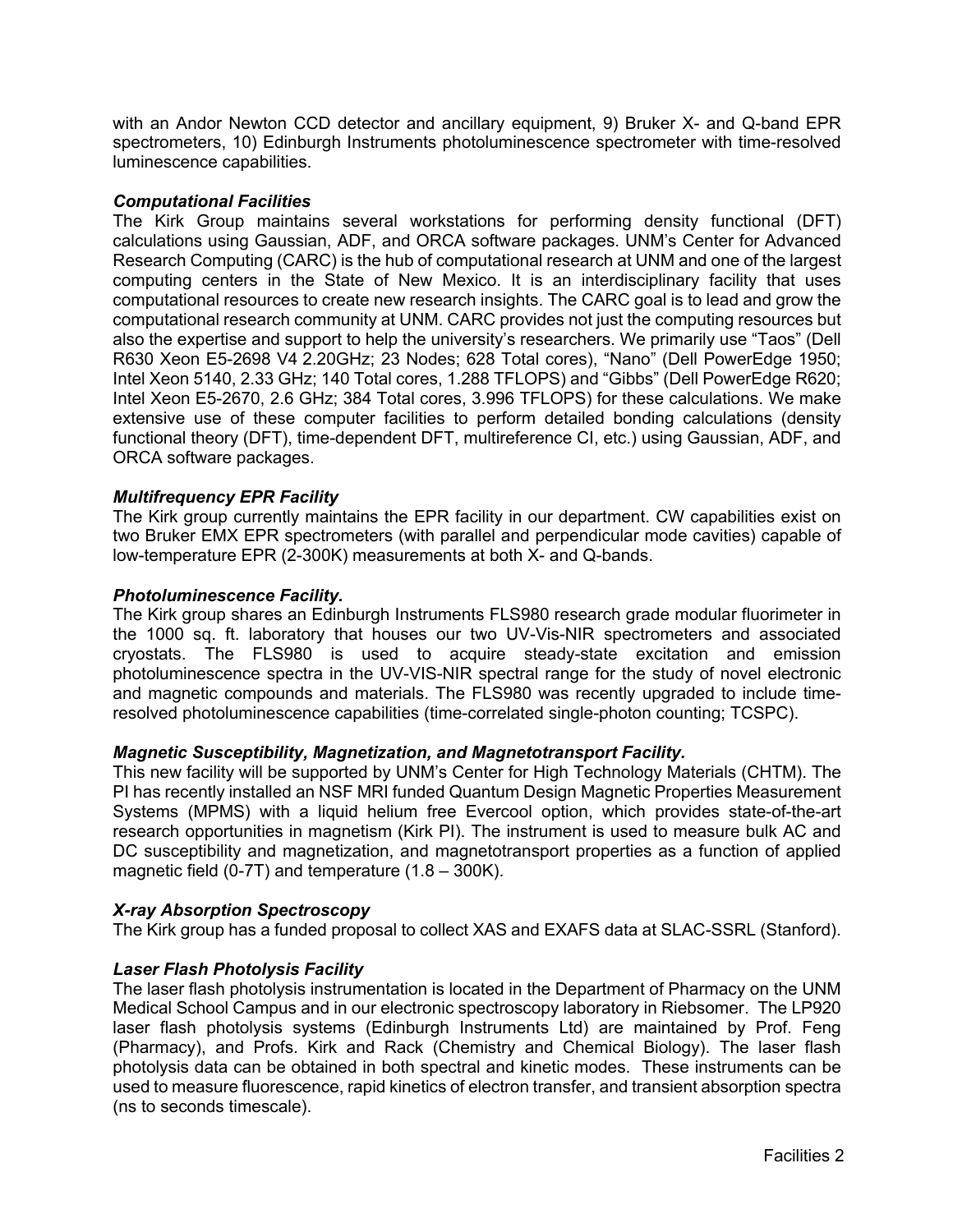with an Andor Newton CCD detector and ancillary equipment, 9) Bruker X- and Q-band EPR spectrometers, 10) Edinburgh Instruments photoluminescence spectrometer with time-resolved luminescence capabilities.

## *Computational Facilities*

The Kirk Group maintains several workstations for performing density functional (DFT) calculations using Gaussian, ADF, and ORCA software packages. UNM's Center for Advanced Research Computing (CARC) is the hub of computational research at UNM and one of the largest computing centers in the State of New Mexico. It is an interdisciplinary facility that uses computational resources to create new research insights. The CARC goal is to lead and grow the computational research community at UNM. CARC provides not just the computing resources but also the expertise and support to help the university's researchers. We primarily use "Taos" (Dell R630 Xeon E5-2698 V4 2.20GHz; 23 Nodes; 628 Total cores), "Nano" (Dell PowerEdge 1950; Intel Xeon 5140, 2.33 GHz; 140 Total cores, 1.288 TFLOPS) and "Gibbs" (Dell PowerEdge R620; Intel Xeon E5-2670, 2.6 GHz; 384 Total cores, 3.996 TFLOPS) for these calculations. We make extensive use of these computer facilities to perform detailed bonding calculations (density functional theory (DFT), time-dependent DFT, multireference CI, etc.) using Gaussian, ADF, and ORCA software packages.

## *Multifrequency EPR Facility*

The Kirk group currently maintains the EPR facility in our department. CW capabilities exist on two Bruker EMX EPR spectrometers (with parallel and perpendicular mode cavities) capable of low-temperature EPR (2-300K) measurements at both X- and Q-bands.

## *Photoluminescence Facility.*

The Kirk group shares an Edinburgh Instruments FLS980 research grade modular fluorimeter in the 1000 sq. ft. laboratory that houses our two UV-Vis-NIR spectrometers and associated cryostats. The FLS980 is used to acquire steady-state excitation and emission photoluminescence spectra in the UV-VIS-NIR spectral range for the study of novel electronic and magnetic compounds and materials. The FLS980 was recently upgraded to include timeresolved photoluminescence capabilities (time-correlated single-photon counting; TCSPC).

# *Magnetic Susceptibility, Magnetization, and Magnetotransport Facility.*

This new facility will be supported by UNM's Center for High Technology Materials (CHTM). The PI has recently installed an NSF MRI funded Quantum Design Magnetic Properties Measurement Systems (MPMS) with a liquid helium free Evercool option, which provides state-of-the-art research opportunities in magnetism (Kirk PI). The instrument is used to measure bulk AC and DC susceptibility and magnetization, and magnetotransport properties as a function of applied magnetic field (0-7T) and temperature  $(1.8 - 300K)$ .

#### *X-ray Absorption Spectroscopy*

The Kirk group has a funded proposal to collect XAS and EXAFS data at SLAC-SSRL (Stanford).

# *Laser Flash Photolysis Facility*

The laser flash photolysis instrumentation is located in the Department of Pharmacy on the UNM Medical School Campus and in our electronic spectroscopy laboratory in Riebsomer. The LP920 laser flash photolysis systems (Edinburgh Instruments Ltd) are maintained by Prof. Feng (Pharmacy), and Profs. Kirk and Rack (Chemistry and Chemical Biology). The laser flash photolysis data can be obtained in both spectral and kinetic modes. These instruments can be used to measure fluorescence, rapid kinetics of electron transfer, and transient absorption spectra (ns to seconds timescale).